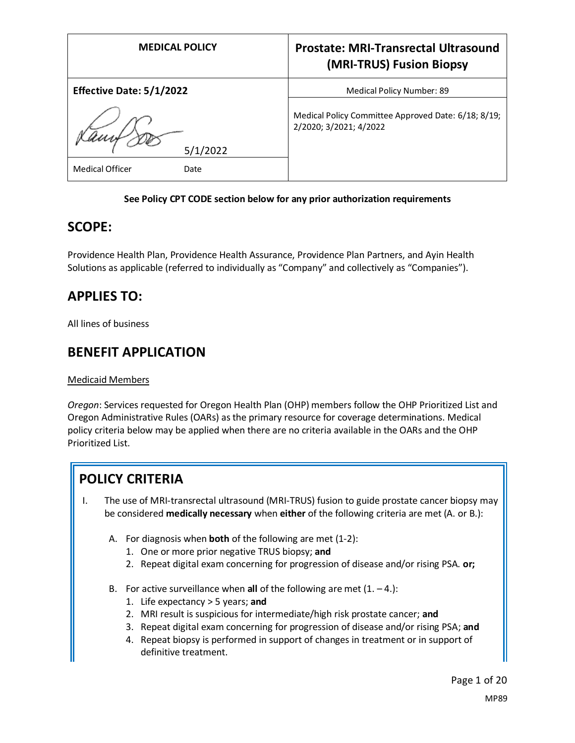| <b>MEDICAL POLICY</b>           | <b>Prostate: MRI-Transrectal Ultrasound</b><br>(MRI-TRUS) Fusion Biopsy       |
|---------------------------------|-------------------------------------------------------------------------------|
| <b>Effective Date: 5/1/2022</b> | Medical Policy Number: 89                                                     |
| 5/1/2022                        | Medical Policy Committee Approved Date: 6/18; 8/19;<br>2/2020; 3/2021; 4/2022 |
| <b>Medical Officer</b><br>Date  |                                                                               |

### **See Policy CPT CODE section below for any prior authorization requirements**

## **SCOPE:**

Providence Health Plan, Providence Health Assurance, Providence Plan Partners, and Ayin Health Solutions as applicable (referred to individually as "Company" and collectively as "Companies").

# **APPLIES TO:**

All lines of business

## **BENEFIT APPLICATION**

#### Medicaid Members

*Oregon*: Services requested for Oregon Health Plan (OHP) members follow the OHP Prioritized List and Oregon Administrative Rules (OARs) as the primary resource for coverage determinations. Medical policy criteria below may be applied when there are no criteria available in the OARs and the OHP Prioritized List.

# **POLICY CRITERIA**

- I. The use of MRI-transrectal ultrasound (MRI-TRUS) fusion to guide prostate cancer biopsy may be considered **medically necessary** when **either** of the following criteria are met (A. or B.):
	- A. For diagnosis when **both** of the following are met (1-2):
		- 1. One or more prior negative TRUS biopsy; **and**
		- 2. Repeat digital exam concerning for progression of disease and/or rising PSA. **or;**
	- B. For active surveillance when **all** of the following are met  $(1, -4)$ :
		- 1. Life expectancy > 5 years; **and**
		- 2. MRI result is suspicious for intermediate/high risk prostate cancer; **and**
		- 3. Repeat digital exam concerning for progression of disease and/or rising PSA; **and**
		- 4. Repeat biopsy is performed in support of changes in treatment or in support of definitive treatment.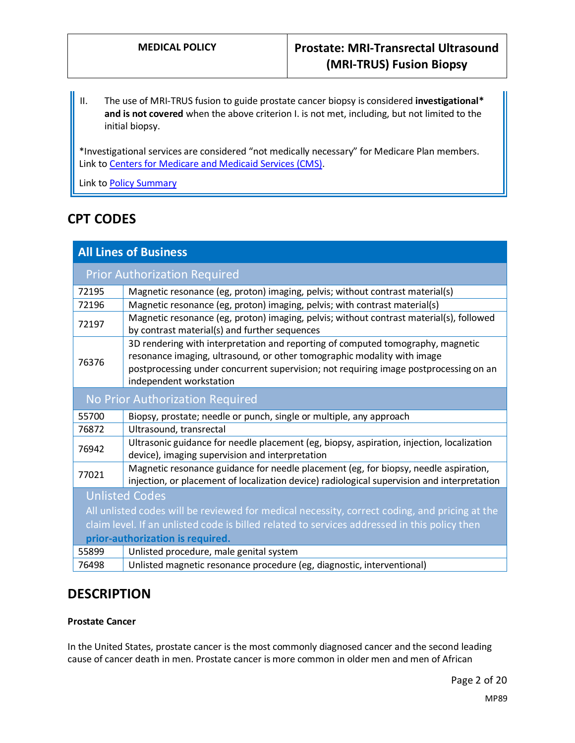II. The use of MRI-TRUS fusion to guide prostate cancer biopsy is considered **investigational\* and is not covered** when the above criterion I. is not met, including, but not limited to the initial biopsy.

\*Investigational services are considered "not medically necessary" for Medicare Plan members. Link t[o Centers for Medicare and Medicaid Services \(CMS\).](#page-15-0)

Link t[o Policy Summary](#page-15-1)

# **CPT CODES**

| <b>All Lines of Business</b>                                                                  |                                                                                                                                                                                                                                                                                |
|-----------------------------------------------------------------------------------------------|--------------------------------------------------------------------------------------------------------------------------------------------------------------------------------------------------------------------------------------------------------------------------------|
|                                                                                               | <b>Prior Authorization Required</b>                                                                                                                                                                                                                                            |
| 72195                                                                                         | Magnetic resonance (eg, proton) imaging, pelvis; without contrast material(s)                                                                                                                                                                                                  |
| 72196                                                                                         | Magnetic resonance (eg, proton) imaging, pelvis; with contrast material(s)                                                                                                                                                                                                     |
| 72197                                                                                         | Magnetic resonance (eg, proton) imaging, pelvis; without contrast material(s), followed<br>by contrast material(s) and further sequences                                                                                                                                       |
| 76376                                                                                         | 3D rendering with interpretation and reporting of computed tomography, magnetic<br>resonance imaging, ultrasound, or other tomographic modality with image<br>postprocessing under concurrent supervision; not requiring image postprocessing on an<br>independent workstation |
| No Prior Authorization Required                                                               |                                                                                                                                                                                                                                                                                |
| 55700                                                                                         | Biopsy, prostate; needle or punch, single or multiple, any approach                                                                                                                                                                                                            |
| 76872                                                                                         | Ultrasound, transrectal                                                                                                                                                                                                                                                        |
| 76942                                                                                         | Ultrasonic guidance for needle placement (eg, biopsy, aspiration, injection, localization<br>device), imaging supervision and interpretation                                                                                                                                   |
| 77021                                                                                         | Magnetic resonance guidance for needle placement (eg, for biopsy, needle aspiration,<br>injection, or placement of localization device) radiological supervision and interpretation                                                                                            |
| <b>Unlisted Codes</b>                                                                         |                                                                                                                                                                                                                                                                                |
| All unlisted codes will be reviewed for medical necessity, correct coding, and pricing at the |                                                                                                                                                                                                                                                                                |
| claim level. If an unlisted code is billed related to services addressed in this policy then  |                                                                                                                                                                                                                                                                                |
| prior-authorization is required.                                                              |                                                                                                                                                                                                                                                                                |
| 55899                                                                                         | Unlisted procedure, male genital system                                                                                                                                                                                                                                        |
| 76498                                                                                         | Unlisted magnetic resonance procedure (eg, diagnostic, interventional)                                                                                                                                                                                                         |

# **DESCRIPTION**

## **Prostate Cancer**

In the United States, prostate cancer is the most commonly diagnosed cancer and the second leading cause of cancer death in men. Prostate cancer is more common in older men and men of African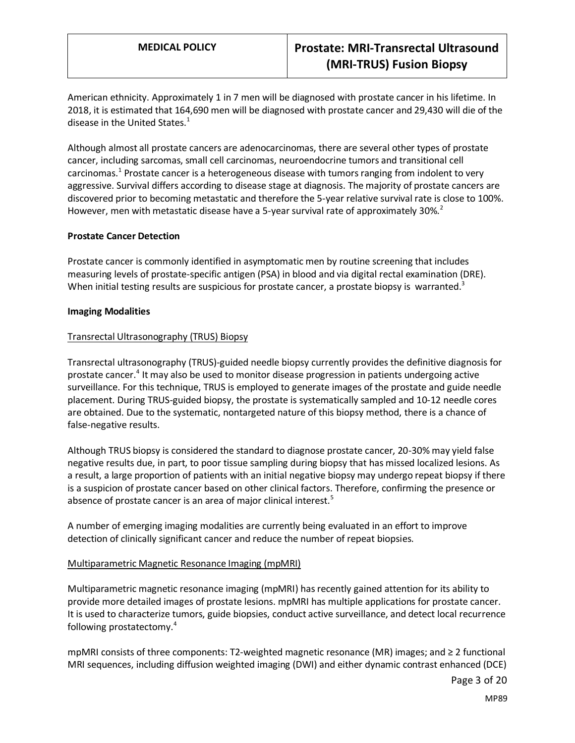American ethnicity. Approximately 1 in 7 men will be diagnosed with prostate cancer in his lifetime. In 2018, it is estimated that 164,690 men will be diagnosed with prostate cancer and 29,430 will die of the disease in the United States. $1$ 

Although almost all prostate cancers are adenocarcinomas, there are several other types of prostate cancer, including sarcomas, small cell carcinomas, neuroendocrine tumors and transitional cell carcinomas.<sup>1</sup> Prostate cancer is a heterogeneous disease with tumors ranging from indolent to very aggressive. Survival differs according to disease stage at diagnosis. The majority of prostate cancers are discovered prior to becoming metastatic and therefore the 5-year relative survival rate is close to 100%. However, men with metastatic disease have a 5-year survival rate of approximately  $30\%$ <sup>2</sup>

#### **Prostate Cancer Detection**

Prostate cancer is commonly identified in asymptomatic men by routine screening that includes measuring levels of prostate-specific antigen (PSA) in blood and via digital rectal examination (DRE). When initial testing results are suspicious for prostate cancer, a prostate biopsy is warranted.<sup>3</sup>

#### **Imaging Modalities**

#### Transrectal Ultrasonography (TRUS) Biopsy

Transrectal ultrasonography (TRUS)-guided needle biopsy currently provides the definitive diagnosis for prostate cancer.<sup>4</sup> It may also be used to monitor disease progression in patients undergoing active surveillance. For this technique, TRUS is employed to generate images of the prostate and guide needle placement. During TRUS-guided biopsy, the prostate is systematically sampled and 10-12 needle cores are obtained. Due to the systematic, nontargeted nature of this biopsy method, there is a chance of false-negative results.

Although TRUS biopsy is considered the standard to diagnose prostate cancer, 20-30% may yield false negative results due, in part, to poor tissue sampling during biopsy that has missed localized lesions. As a result, a large proportion of patients with an initial negative biopsy may undergo repeat biopsy if there is a suspicion of prostate cancer based on other clinical factors. Therefore, confirming the presence or absence of prostate cancer is an area of major clinical interest.<sup>5</sup>

A number of emerging imaging modalities are currently being evaluated in an effort to improve detection of clinically significant cancer and reduce the number of repeat biopsies.

#### Multiparametric Magnetic Resonance Imaging (mpMRI)

Multiparametric magnetic resonance imaging (mpMRI) has recently gained attention for its ability to provide more detailed images of prostate lesions. mpMRI has multiple applications for prostate cancer. It is used to characterize tumors, guide biopsies, conduct active surveillance, and detect local recurrence following prostatectomy.<sup>4</sup>

mpMRI consists of three components: T2-weighted magnetic resonance (MR) images; and ≥ 2 functional MRI sequences, including diffusion weighted imaging (DWI) and either dynamic contrast enhanced (DCE)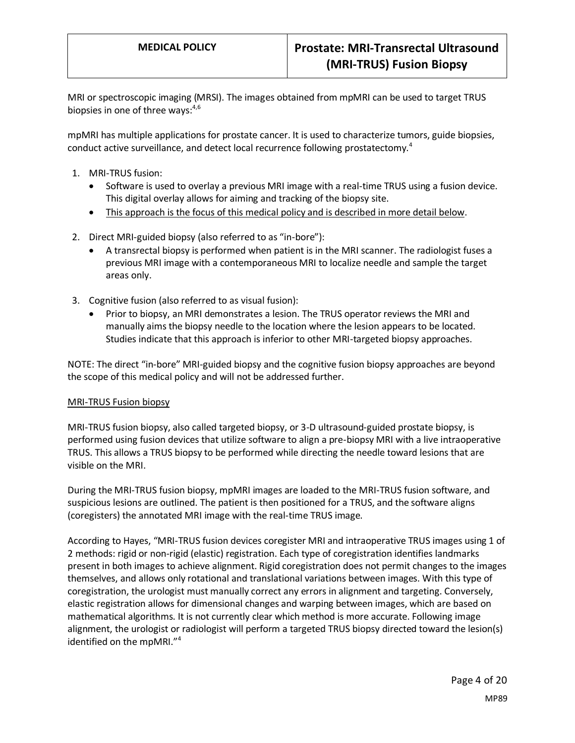MRI or spectroscopic imaging (MRSI). The images obtained from mpMRI can be used to target TRUS biopsies in one of three ways: $4,6$ 

mpMRI has multiple applications for prostate cancer. It is used to characterize tumors, guide biopsies, conduct active surveillance, and detect local recurrence following prostatectomy.<sup>4</sup>

- 1. MRI-TRUS fusion:
	- Software is used to overlay a previous MRI image with a real-time TRUS using a fusion device. This digital overlay allows for aiming and tracking of the biopsy site.
	- This approach is the focus of this medical policy and is described in more detail below.
- 2. Direct MRI-guided biopsy (also referred to as "in-bore"):
	- A transrectal biopsy is performed when patient is in the MRI scanner. The radiologist fuses a previous MRI image with a contemporaneous MRI to localize needle and sample the target areas only.
- 3. Cognitive fusion (also referred to as visual fusion):
	- Prior to biopsy, an MRI demonstrates a lesion. The TRUS operator reviews the MRI and manually aims the biopsy needle to the location where the lesion appears to be located. Studies indicate that this approach is inferior to other MRI-targeted biopsy approaches.

NOTE: The direct "in-bore" MRI-guided biopsy and the cognitive fusion biopsy approaches are beyond the scope of this medical policy and will not be addressed further.

#### MRI-TRUS Fusion biopsy

MRI-TRUS fusion biopsy, also called targeted biopsy, or 3-D ultrasound-guided prostate biopsy, is performed using fusion devices that utilize software to align a pre-biopsy MRI with a live intraoperative TRUS. This allows a TRUS biopsy to be performed while directing the needle toward lesions that are visible on the MRI.

During the MRI-TRUS fusion biopsy, mpMRI images are loaded to the MRI-TRUS fusion software, and suspicious lesions are outlined. The patient is then positioned for a TRUS, and the software aligns (coregisters) the annotated MRI image with the real-time TRUS image.

According to Hayes, "MRI-TRUS fusion devices coregister MRI and intraoperative TRUS images using 1 of 2 methods: rigid or non-rigid (elastic) registration. Each type of coregistration identifies landmarks present in both images to achieve alignment. Rigid coregistration does not permit changes to the images themselves, and allows only rotational and translational variations between images. With this type of coregistration, the urologist must manually correct any errors in alignment and targeting. Conversely, elastic registration allows for dimensional changes and warping between images, which are based on mathematical algorithms. It is not currently clear which method is more accurate. Following image alignment, the urologist or radiologist will perform a targeted TRUS biopsy directed toward the lesion(s) identified on the mpMRI."<sup>4</sup>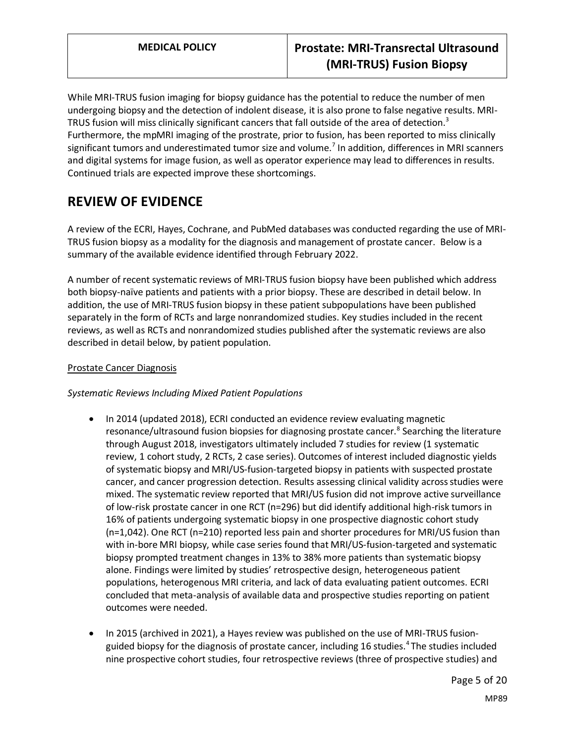While MRI-TRUS fusion imaging for biopsy guidance has the potential to reduce the number of men undergoing biopsy and the detection of indolent disease, it is also prone to false negative results. MRI-TRUS fusion will miss clinically significant cancers that fall outside of the area of detection.<sup>3</sup> Furthermore, the mpMRI imaging of the prostrate, prior to fusion, has been reported to miss clinically significant tumors and underestimated tumor size and volume.<sup>7</sup> In addition, differences in MRI scanners and digital systems for image fusion, as well as operator experience may lead to differences in results. Continued trials are expected improve these shortcomings.

# **REVIEW OF EVIDENCE**

A review of the ECRI, Hayes, Cochrane, and PubMed databases was conducted regarding the use of MRI-TRUS fusion biopsy as a modality for the diagnosis and management of prostate cancer. Below is a summary of the available evidence identified through February 2022.

A number of recent systematic reviews of MRI-TRUS fusion biopsy have been published which address both biopsy-naïve patients and patients with a prior biopsy. These are described in detail below. In addition, the use of MRI-TRUS fusion biopsy in these patient subpopulations have been published separately in the form of RCTs and large nonrandomized studies. Key studies included in the recent reviews, as well as RCTs and nonrandomized studies published after the systematic reviews are also described in detail below, by patient population.

## Prostate Cancer Diagnosis

## *Systematic Reviews Including Mixed Patient Populations*

- In 2014 (updated 2018), ECRI conducted an evidence review evaluating magnetic resonance/ultrasound fusion biopsies for diagnosing prostate cancer.<sup>8</sup> Searching the literature through August 2018, investigators ultimately included 7 studies for review (1 systematic review, 1 cohort study, 2 RCTs, 2 case series). Outcomes of interest included diagnostic yields of systematic biopsy and MRI/US-fusion-targeted biopsy in patients with suspected prostate cancer, and cancer progression detection. Results assessing clinical validity across studies were mixed. The systematic review reported that MRI/US fusion did not improve active surveillance of low-risk prostate cancer in one RCT (n=296) but did identify additional high-risk tumors in 16% of patients undergoing systematic biopsy in one prospective diagnostic cohort study (n=1,042). One RCT (n=210) reported less pain and shorter procedures for MRI/US fusion than with in-bore MRI biopsy, while case series found that MRI/US-fusion-targeted and systematic biopsy prompted treatment changes in 13% to 38% more patients than systematic biopsy alone. Findings were limited by studies' retrospective design, heterogeneous patient populations, heterogenous MRI criteria, and lack of data evaluating patient outcomes. ECRI concluded that meta-analysis of available data and prospective studies reporting on patient outcomes were needed.
- In 2015 (archived in 2021), a Hayes review was published on the use of MRI-TRUS fusionguided biopsy for the diagnosis of prostate cancer, including 16 studies.<sup>4</sup> The studies included nine prospective cohort studies, four retrospective reviews (three of prospective studies) and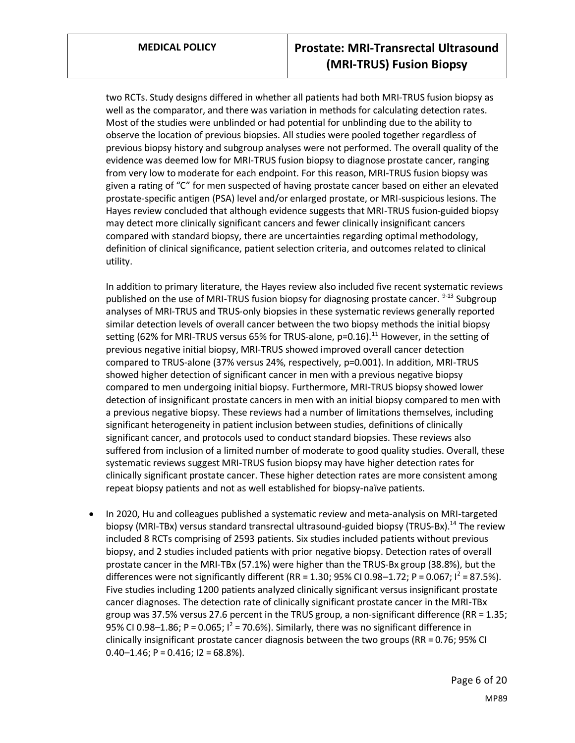two RCTs. Study designs differed in whether all patients had both MRI-TRUS fusion biopsy as well as the comparator, and there was variation in methods for calculating detection rates. Most of the studies were unblinded or had potential for unblinding due to the ability to observe the location of previous biopsies. All studies were pooled together regardless of previous biopsy history and subgroup analyses were not performed. The overall quality of the evidence was deemed low for MRI-TRUS fusion biopsy to diagnose prostate cancer, ranging from very low to moderate for each endpoint. For this reason, MRI-TRUS fusion biopsy was given a rating of "C" for men suspected of having prostate cancer based on either an elevated prostate-specific antigen (PSA) level and/or enlarged prostate, or MRI-suspicious lesions. The Hayes review concluded that although evidence suggests that MRI-TRUS fusion-guided biopsy may detect more clinically significant cancers and fewer clinically insignificant cancers compared with standard biopsy, there are uncertainties regarding optimal methodology, definition of clinical significance, patient selection criteria, and outcomes related to clinical utility.

In addition to primary literature, the Hayes review also included five recent systematic reviews published on the use of MRI-TRUS fusion biopsy for diagnosing prostate cancer.  $9-13$  Subgroup analyses of MRI-TRUS and TRUS-only biopsies in these systematic reviews generally reported similar detection levels of overall cancer between the two biopsy methods the initial biopsy setting (62% for MRI-TRUS versus 65% for TRUS-alone,  $p=0.16$ ).<sup>11</sup> However, in the setting of previous negative initial biopsy, MRI-TRUS showed improved overall cancer detection compared to TRUS-alone (37% versus 24%, respectively, p=0.001). In addition, MRI-TRUS showed higher detection of significant cancer in men with a previous negative biopsy compared to men undergoing initial biopsy. Furthermore, MRI-TRUS biopsy showed lower detection of insignificant prostate cancers in men with an initial biopsy compared to men with a previous negative biopsy. These reviews had a number of limitations themselves, including significant heterogeneity in patient inclusion between studies, definitions of clinically significant cancer, and protocols used to conduct standard biopsies. These reviews also suffered from inclusion of a limited number of moderate to good quality studies. Overall, these systematic reviews suggest MRI-TRUS fusion biopsy may have higher detection rates for clinically significant prostate cancer. These higher detection rates are more consistent among repeat biopsy patients and not as well established for biopsy-naïve patients.

• In 2020, Hu and colleagues published a systematic review and meta-analysis on MRI-targeted biopsy (MRI-TBx) versus standard transrectal ultrasound-guided biopsy (TRUS-Bx).<sup>14</sup> The review included 8 RCTs comprising of 2593 patients. Six studies included patients without previous biopsy, and 2 studies included patients with prior negative biopsy. Detection rates of overall prostate cancer in the MRI-TBx (57.1%) were higher than the TRUS-Bx group (38.8%), but the differences were not significantly different (RR = 1.30; 95% CI 0.98-1.72; P = 0.067;  $I^2$  = 87.5%). Five studies including 1200 patients analyzed clinically significant versus insignificant prostate cancer diagnoses. The detection rate of clinically significant prostate cancer in the MRI-TBx group was 37.5% versus 27.6 percent in the TRUS group, a non-significant difference (RR = 1.35; 95% CI 0.98–1.86; P = 0.065;  $I^2$  = 70.6%). Similarly, there was no significant difference in clinically insignificant prostate cancer diagnosis between the two groups (RR = 0.76; 95% CI 0.40–1.46; P = 0.416; I2 = 68.8%).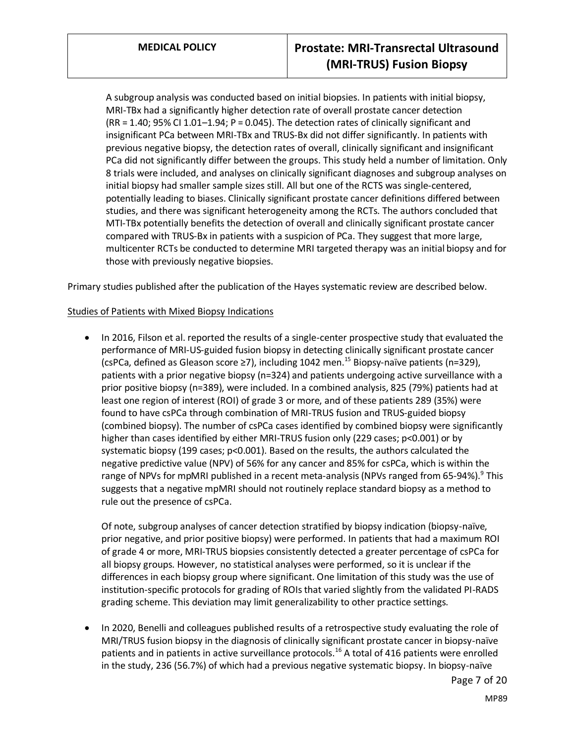A subgroup analysis was conducted based on initial biopsies. In patients with initial biopsy, MRI-TBx had a significantly higher detection rate of overall prostate cancer detection (RR = 1.40; 95% CI 1.01–1.94; P = 0.045). The detection rates of clinically significant and insignificant PCa between MRI-TBx and TRUS-Bx did not differ significantly. In patients with previous negative biopsy, the detection rates of overall, clinically significant and insignificant PCa did not significantly differ between the groups. This study held a number of limitation. Only 8 trials were included, and analyses on clinically significant diagnoses and subgroup analyses on initial biopsy had smaller sample sizes still. All but one of the RCTS was single-centered, potentially leading to biases. Clinically significant prostate cancer definitions differed between studies, and there was significant heterogeneity among the RCTs. The authors concluded that MTI-TBx potentially benefits the detection of overall and clinically significant prostate cancer compared with TRUS-Bx in patients with a suspicion of PCa. They suggest that more large, multicenter RCTs be conducted to determine MRI targeted therapy was an initial biopsy and for those with previously negative biopsies.

Primary studies published after the publication of the Hayes systematic review are described below.

### Studies of Patients with Mixed Biopsy Indications

• In 2016, Filson et al. reported the results of a single-center prospective study that evaluated the performance of MRI-US-guided fusion biopsy in detecting clinically significant prostate cancer (csPCa, defined as Gleason score  $\geq$ 7), including 1042 men.<sup>15</sup> Biopsy-naïve patients (n=329), patients with a prior negative biopsy (n=324) and patients undergoing active surveillance with a prior positive biopsy (n=389), were included. In a combined analysis, 825 (79%) patients had at least one region of interest (ROI) of grade 3 or more, and of these patients 289 (35%) were found to have csPCa through combination of MRI-TRUS fusion and TRUS-guided biopsy (combined biopsy). The number of csPCa cases identified by combined biopsy were significantly higher than cases identified by either MRI-TRUS fusion only (229 cases; p<0.001) or by systematic biopsy (199 cases; p<0.001). Based on the results, the authors calculated the negative predictive value (NPV) of 56% for any cancer and 85% for csPCa, which is within the range of NPVs for mpMRI published in a recent meta-analysis (NPVs ranged from 65-94%).<sup>9</sup> This suggests that a negative mpMRI should not routinely replace standard biopsy as a method to rule out the presence of csPCa.

Of note, subgroup analyses of cancer detection stratified by biopsy indication (biopsy-naïve, prior negative, and prior positive biopsy) were performed. In patients that had a maximum ROI of grade 4 or more, MRI-TRUS biopsies consistently detected a greater percentage of csPCa for all biopsy groups. However, no statistical analyses were performed, so it is unclear if the differences in each biopsy group where significant. One limitation of this study was the use of institution-specific protocols for grading of ROIs that varied slightly from the validated PI-RADS grading scheme. This deviation may limit generalizability to other practice settings.

• In 2020, Benelli and colleagues published results of a retrospective study evaluating the role of MRI/TRUS fusion biopsy in the diagnosis of clinically significant prostate cancer in biopsy-naïve patients and in patients in active surveillance protocols.<sup>16</sup> A total of 416 patients were enrolled in the study, 236 (56.7%) of which had a previous negative systematic biopsy. In biopsy-naïve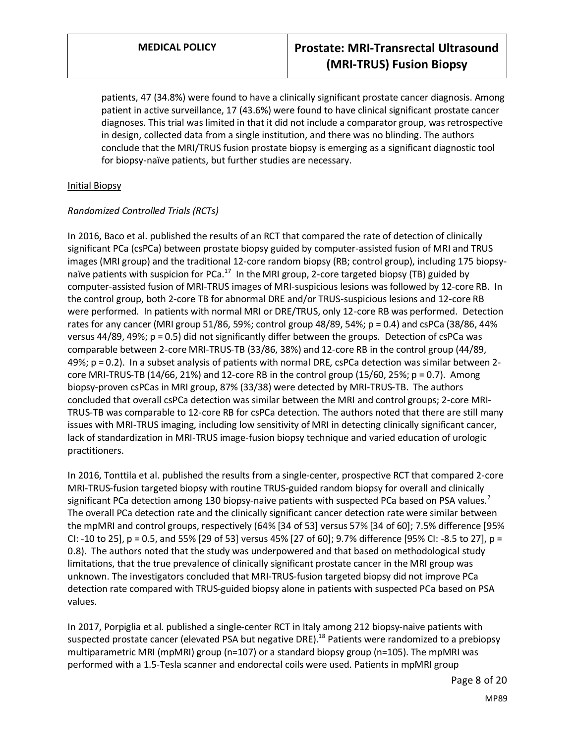patients, 47 (34.8%) were found to have a clinically significant prostate cancer diagnosis. Among patient in active surveillance, 17 (43.6%) were found to have clinical significant prostate cancer diagnoses. This trial was limited in that it did not include a comparator group, was retrospective in design, collected data from a single institution, and there was no blinding. The authors conclude that the MRI/TRUS fusion prostate biopsy is emerging as a significant diagnostic tool for biopsy-naïve patients, but further studies are necessary.

### Initial Biopsy

### *Randomized Controlled Trials (RCTs)*

In 2016, Baco et al. published the results of an RCT that compared the rate of detection of clinically significant PCa (csPCa) between prostate biopsy guided by computer-assisted fusion of MRI and TRUS images (MRI group) and the traditional 12-core random biopsy (RB; control group), including 175 biopsynaïve patients with suspicion for PCa.<sup>17</sup> In the MRI group, 2-core targeted biopsy (TB) guided by computer-assisted fusion of MRI-TRUS images of MRI-suspicious lesions was followed by 12-core RB. In the control group, both 2-core TB for abnormal DRE and/or TRUS-suspicious lesions and 12-core RB were performed. In patients with normal MRI or DRE/TRUS, only 12-core RB was performed. Detection rates for any cancer (MRI group 51/86, 59%; control group 48/89, 54%; p = 0.4) and csPCa (38/86, 44% versus 44/89, 49%; p = 0.5) did not significantly differ between the groups. Detection of csPCa was comparable between 2-core MRI-TRUS-TB (33/86, 38%) and 12-core RB in the control group (44/89, 49%; p = 0.2). In a subset analysis of patients with normal DRE, csPCa detection was similar between 2 core MRI-TRUS-TB  $(14/66, 21%)$  and 12-core RB in the control group  $(15/60, 25%)$ ; p = 0.7). Among biopsy-proven csPCas in MRI group, 87% (33/38) were detected by MRI-TRUS-TB. The authors concluded that overall csPCa detection was similar between the MRI and control groups; 2-core MRI-TRUS-TB was comparable to 12-core RB for csPCa detection. The authors noted that there are still many issues with MRI-TRUS imaging, including low sensitivity of MRI in detecting clinically significant cancer, lack of standardization in MRI-TRUS image-fusion biopsy technique and varied education of urologic practitioners.

In 2016, Tonttila et al. published the results from a single-center, prospective RCT that compared 2-core MRI-TRUS-fusion targeted biopsy with routine TRUS-guided random biopsy for overall and clinically significant PCa detection among 130 biopsy-naive patients with suspected PCa based on PSA values.<sup>2</sup> The overall PCa detection rate and the clinically significant cancer detection rate were similar between the mpMRI and control groups, respectively (64% [34 of 53] versus 57% [34 of 60]; 7.5% difference [95% CI: -10 to 25], p = 0.5, and 55% [29 of 53] versus 45% [27 of 60]; 9.7% difference [95% CI: -8.5 to 27], p = 0.8). The authors noted that the study was underpowered and that based on methodological study limitations, that the true prevalence of clinically significant prostate cancer in the MRI group was unknown. The investigators concluded that MRI-TRUS-fusion targeted biopsy did not improve PCa detection rate compared with TRUS-guided biopsy alone in patients with suspected PCa based on PSA values.

In 2017, Porpiglia et al. published a single-center RCT in Italy among 212 biopsy-naive patients with suspected prostate cancer (elevated PSA but negative DRE).<sup>18</sup> Patients were randomized to a prebiopsy multiparametric MRI (mpMRI) group (n=107) or a standard biopsy group (n=105). The mpMRI was performed with a 1.5-Tesla scanner and endorectal coils were used. Patients in mpMRI group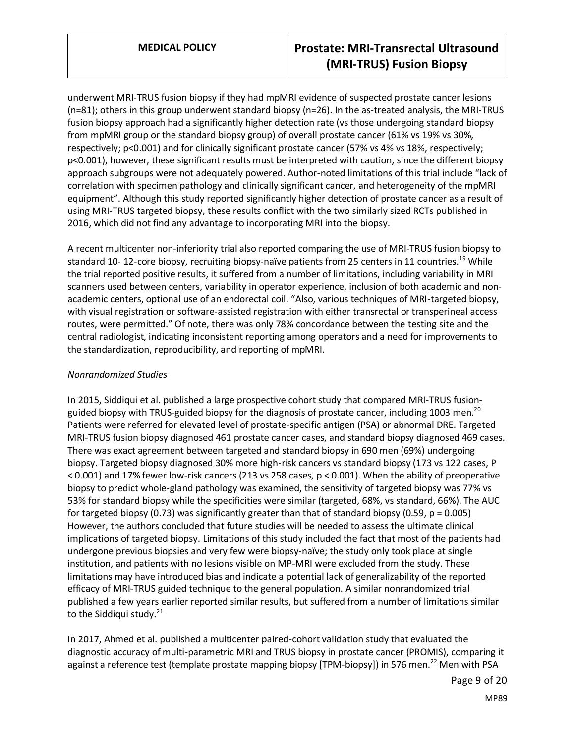underwent MRI-TRUS fusion biopsy if they had mpMRI evidence of suspected prostate cancer lesions (n=81); others in this group underwent standard biopsy (n=26). In the as-treated analysis, the MRI-TRUS fusion biopsy approach had a significantly higher detection rate (vs those undergoing standard biopsy from mpMRI group or the standard biopsy group) of overall prostate cancer (61% vs 19% vs 30%, respectively; p<0.001) and for clinically significant prostate cancer (57% vs 4% vs 18%, respectively; p<0.001), however, these significant results must be interpreted with caution, since the different biopsy approach subgroups were not adequately powered. Author-noted limitations of this trial include "lack of correlation with specimen pathology and clinically significant cancer, and heterogeneity of the mpMRI equipment". Although this study reported significantly higher detection of prostate cancer as a result of using MRI-TRUS targeted biopsy, these results conflict with the two similarly sized RCTs published in 2016, which did not find any advantage to incorporating MRI into the biopsy.

A recent multicenter non-inferiority trial also reported comparing the use of MRI-TRUS fusion biopsy to standard 10-12-core biopsy, recruiting biopsy-naïve patients from 25 centers in 11 countries.<sup>19</sup> While the trial reported positive results, it suffered from a number of limitations, including variability in MRI scanners used between centers, variability in operator experience, inclusion of both academic and nonacademic centers, optional use of an endorectal coil. "Also, various techniques of MRI-targeted biopsy, with visual registration or software-assisted registration with either transrectal or transperineal access routes, were permitted." Of note, there was only 78% concordance between the testing site and the central radiologist, indicating inconsistent reporting among operators and a need for improvements to the standardization, reproducibility, and reporting of mpMRI.

## *Nonrandomized Studies*

In 2015, Siddiqui et al. published a large prospective cohort study that compared MRI-TRUS fusionguided biopsy with TRUS-guided biopsy for the diagnosis of prostate cancer, including 1003 men.<sup>20</sup> Patients were referred for elevated level of prostate-specific antigen (PSA) or abnormal DRE. Targeted MRI-TRUS fusion biopsy diagnosed 461 prostate cancer cases, and standard biopsy diagnosed 469 cases. There was exact agreement between targeted and standard biopsy in 690 men (69%) undergoing biopsy. Targeted biopsy diagnosed 30% more high-risk cancers vs standard biopsy (173 vs 122 cases, P < 0.001) and 17% fewer low-risk cancers (213 vs 258 cases, p < 0.001). When the ability of preoperative biopsy to predict whole-gland pathology was examined, the sensitivity of targeted biopsy was 77% vs 53% for standard biopsy while the specificities were similar (targeted, 68%, vs standard, 66%). The AUC for targeted biopsy (0.73) was significantly greater than that of standard biopsy (0.59,  $p = 0.005$ ) However, the authors concluded that future studies will be needed to assess the ultimate clinical implications of targeted biopsy. Limitations of this study included the fact that most of the patients had undergone previous biopsies and very few were biopsy-naïve; the study only took place at single institution, and patients with no lesions visible on MP-MRI were excluded from the study. These limitations may have introduced bias and indicate a potential lack of generalizability of the reported efficacy of MRI-TRUS guided technique to the general population. A similar nonrandomized trial published a few years earlier reported similar results, but suffered from a number of limitations similar to the Siddiqui study. $^{21}$ 

In 2017, Ahmed et al. published a multicenter paired-cohort validation study that evaluated the diagnostic accuracy of multi-parametric MRI and TRUS biopsy in prostate cancer (PROMIS), comparing it against a reference test (template prostate mapping biopsy [TPM-biopsy]) in 576 men.<sup>22</sup> Men with PSA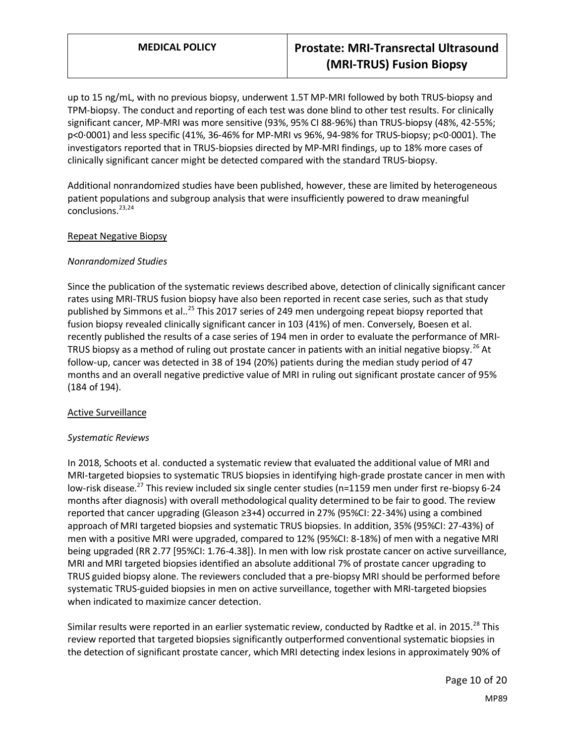# **MEDICAL POLICY Prostate: MRI-Transrectal Ultrasound (MRI-TRUS) Fusion Biopsy**

up to 15 ng/mL, with no previous biopsy, underwent 1.5T MP-MRI followed by both TRUS-biopsy and TPM-biopsy. The conduct and reporting of each test was done blind to other test results. For clinically significant cancer, MP-MRI was more sensitive (93%, 95% CI 88-96%) than TRUS-biopsy (48%, 42-55%; p<0·0001) and less specific (41%, 36-46% for MP-MRI vs 96%, 94-98% for TRUS-biopsy; p<0·0001). The investigators reported that in TRUS-biopsies directed by MP-MRI findings, up to 18% more cases of clinically significant cancer might be detected compared with the standard TRUS-biopsy.

Additional nonrandomized studies have been published, however, these are limited by heterogeneous patient populations and subgroup analysis that were insufficiently powered to draw meaningful conclusions.<sup>23,24</sup>

#### Repeat Negative Biopsy

### *Nonrandomized Studies*

Since the publication of the systematic reviews described above, detection of clinically significant cancer rates using MRI-TRUS fusion biopsy have also been reported in recent case series, such as that study published by Simmons et al..<sup>25</sup> This 2017 series of 249 men undergoing repeat biopsy reported that fusion biopsy revealed clinically significant cancer in 103 (41%) of men. Conversely, Boesen et al. recently published the results of a case series of 194 men in order to evaluate the performance of MRI-TRUS biopsy as a method of ruling out prostate cancer in patients with an initial negative biopsy.<sup>26</sup> At follow-up, cancer was detected in 38 of 194 (20%) patients during the median study period of 47 months and an overall negative predictive value of MRI in ruling out significant prostate cancer of 95% (184 of 194).

### Active Surveillance

#### *Systematic Reviews*

In 2018, Schoots et al. conducted a systematic review that evaluated the additional value of MRI and MRI-targeted biopsies to systematic TRUS biopsies in identifying high-grade prostate cancer in men with low-risk disease.<sup>27</sup> This review included six single center studies (n=1159 men under first re-biopsy 6-24 months after diagnosis) with overall methodological quality determined to be fair to good. The review reported that cancer upgrading (Gleason ≥3+4) occurred in 27% (95%CI: 22-34%) using a combined approach of MRI targeted biopsies and systematic TRUS biopsies. In addition, 35% (95%CI: 27-43%) of men with a positive MRI were upgraded, compared to 12% (95%CI: 8-18%) of men with a negative MRI being upgraded (RR 2.77 [95%CI: 1.76-4.38]). In men with low risk prostate cancer on active surveillance, MRI and MRI targeted biopsies identified an absolute additional 7% of prostate cancer upgrading to TRUS guided biopsy alone. The reviewers concluded that a pre-biopsy MRI should be performed before systematic TRUS-guided biopsies in men on active surveillance, together with MRI-targeted biopsies when indicated to maximize cancer detection.

Similar results were reported in an earlier systematic review, conducted by Radtke et al. in 2015.<sup>28</sup> This review reported that targeted biopsies significantly outperformed conventional systematic biopsies in the detection of significant prostate cancer, which MRI detecting index lesions in approximately 90% of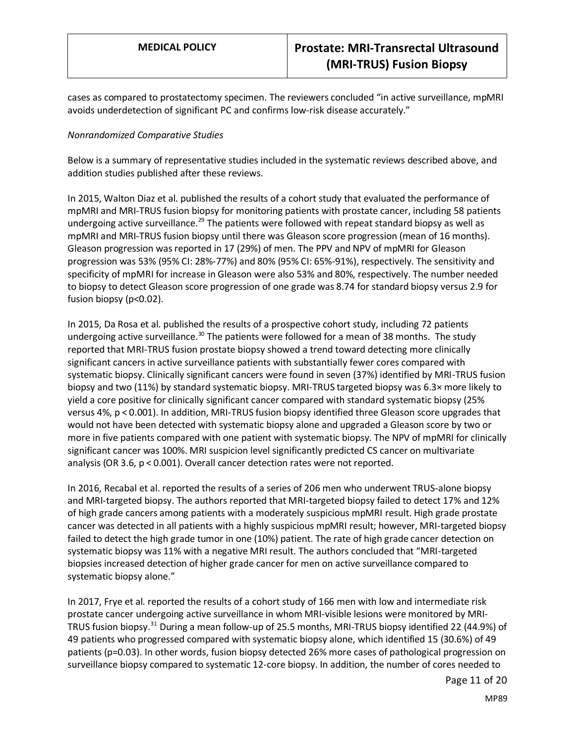cases as compared to prostatectomy specimen. The reviewers concluded "in active surveillance, mpMRI avoids underdetection of significant PC and confirms low-risk disease accurately."

#### *Nonrandomized Comparative Studies*

Below is a summary of representative studies included in the systematic reviews described above, and addition studies published after these reviews.

In 2015, Walton Diaz et al. published the results of a cohort study that evaluated the performance of mpMRI and MRI-TRUS fusion biopsy for monitoring patients with prostate cancer, including 58 patients undergoing active surveillance.<sup>29</sup> The patients were followed with repeat standard biopsy as well as mpMRI and MRI-TRUS fusion biopsy until there was Gleason score progression (mean of 16 months). Gleason progression was reported in 17 (29%) of men. The PPV and NPV of mpMRI for Gleason progression was 53% (95% CI: 28%-77%) and 80% (95% CI: 65%-91%), respectively. The sensitivity and specificity of mpMRI for increase in Gleason were also 53% and 80%, respectively. The number needed to biopsy to detect Gleason score progression of one grade was 8.74 for standard biopsy versus 2.9 for fusion biopsy (p<0.02).

In 2015, Da Rosa et al. published the results of a prospective cohort study, including 72 patients undergoing active surveillance.<sup>30</sup> The patients were followed for a mean of 38 months. The study reported that MRI-TRUS fusion prostate biopsy showed a trend toward detecting more clinically significant cancers in active surveillance patients with substantially fewer cores compared with systematic biopsy. Clinically significant cancers were found in seven (37%) identified by MRI-TRUS fusion biopsy and two (11%) by standard systematic biopsy. MRI-TRUS targeted biopsy was 6.3× more likely to yield a core positive for clinically significant cancer compared with standard systematic biopsy (25% versus 4%, p < 0.001). In addition, MRI-TRUS fusion biopsy identified three Gleason score upgrades that would not have been detected with systematic biopsy alone and upgraded a Gleason score by two or more in five patients compared with one patient with systematic biopsy. The NPV of mpMRI for clinically significant cancer was 100%. MRI suspicion level significantly predicted CS cancer on multivariate analysis (OR 3.6, p < 0.001). Overall cancer detection rates were not reported.

In 2016, Recabal et al. reported the results of a series of 206 men who underwent TRUS-alone biopsy and MRI-targeted biopsy. The authors reported that MRI-targeted biopsy failed to detect 17% and 12% of high grade cancers among patients with a moderately suspicious mpMRI result. High grade prostate cancer was detected in all patients with a highly suspicious mpMRI result; however, MRI-targeted biopsy failed to detect the high grade tumor in one (10%) patient. The rate of high grade cancer detection on systematic biopsy was 11% with a negative MRI result. The authors concluded that "MRI-targeted biopsies increased detection of higher grade cancer for men on active surveillance compared to systematic biopsy alone."

In 2017, Frye et al. reported the results of a cohort study of 166 men with low and intermediate risk prostate cancer undergoing active surveillance in whom MRI-visible lesions were monitored by MRI-TRUS fusion biopsy.<sup>31</sup> During a mean follow-up of 25.5 months, MRI-TRUS biopsy identified 22 (44.9%) of 49 patients who progressed compared with systematic biopsy alone, which identified 15 (30.6%) of 49 patients (p=0.03). In other words, fusion biopsy detected 26% more cases of pathological progression on surveillance biopsy compared to systematic 12-core biopsy. In addition, the number of cores needed to

Page 11 of 20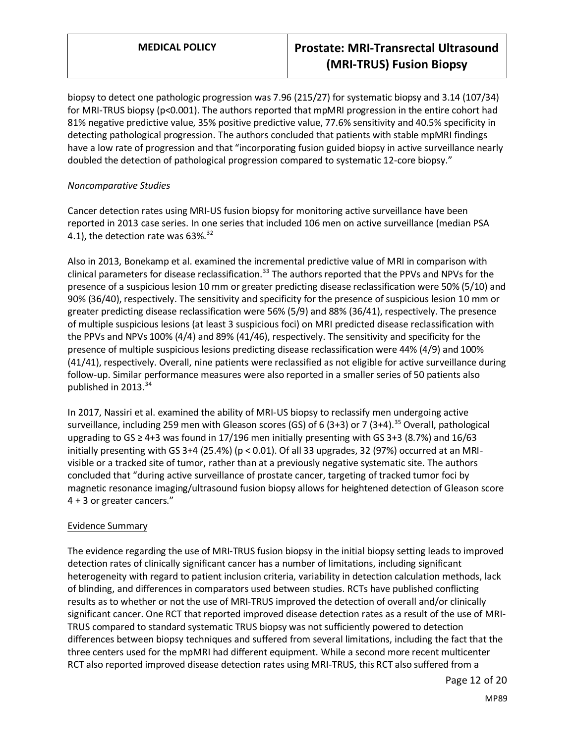biopsy to detect one pathologic progression was 7.96 (215/27) for systematic biopsy and 3.14 (107/34) for MRI-TRUS biopsy (p<0.001). The authors reported that mpMRI progression in the entire cohort had 81% negative predictive value, 35% positive predictive value, 77.6% sensitivity and 40.5% specificity in detecting pathological progression. The authors concluded that patients with stable mpMRI findings have a low rate of progression and that "incorporating fusion guided biopsy in active surveillance nearly doubled the detection of pathological progression compared to systematic 12-core biopsy."

## *Noncomparative Studies*

Cancer detection rates using MRI-US fusion biopsy for monitoring active surveillance have been reported in 2013 case series. In one series that included 106 men on active surveillance (median PSA 4.1), the detection rate was  $63\%$ .<sup>32</sup>

Also in 2013, Bonekamp et al. examined the incremental predictive value of MRI in comparison with clinical parameters for disease reclassification.<sup>33</sup> The authors reported that the PPVs and NPVs for the presence of a suspicious lesion 10 mm or greater predicting disease reclassification were 50% (5/10) and 90% (36/40), respectively. The sensitivity and specificity for the presence of suspicious lesion 10 mm or greater predicting disease reclassification were 56% (5/9) and 88% (36/41), respectively. The presence of multiple suspicious lesions (at least 3 suspicious foci) on MRI predicted disease reclassification with the PPVs and NPVs 100% (4/4) and 89% (41/46), respectively. The sensitivity and specificity for the presence of multiple suspicious lesions predicting disease reclassification were 44% (4/9) and 100% (41/41), respectively. Overall, nine patients were reclassified as not eligible for active surveillance during follow-up. Similar performance measures were also reported in a smaller series of 50 patients also published in 2013.<sup>34</sup>

In 2017, Nassiri et al. examined the ability of MRI-US biopsy to reclassify men undergoing active surveillance, including 259 men with Gleason scores (GS) of 6 (3+3) or 7 (3+4).<sup>35</sup> Overall, pathological upgrading to  $GS \geq 4+3$  was found in 17/196 men initially presenting with GS 3+3 (8.7%) and 16/63 initially presenting with GS 3+4 (25.4%) ( $p < 0.01$ ). Of all 33 upgrades, 32 (97%) occurred at an MRIvisible or a tracked site of tumor, rather than at a previously negative systematic site. The authors concluded that "during active surveillance of prostate cancer, targeting of tracked tumor foci by magnetic resonance imaging/ultrasound fusion biopsy allows for heightened detection of Gleason score 4 + 3 or greater cancers."

## Evidence Summary

The evidence regarding the use of MRI-TRUS fusion biopsy in the initial biopsy setting leads to improved detection rates of clinically significant cancer has a number of limitations, including significant heterogeneity with regard to patient inclusion criteria, variability in detection calculation methods, lack of blinding, and differences in comparators used between studies. RCTs have published conflicting results as to whether or not the use of MRI-TRUS improved the detection of overall and/or clinically significant cancer. One RCT that reported improved disease detection rates as a result of the use of MRI-TRUS compared to standard systematic TRUS biopsy was not sufficiently powered to detection differences between biopsy techniques and suffered from several limitations, including the fact that the three centers used for the mpMRI had different equipment. While a second more recent multicenter RCT also reported improved disease detection rates using MRI-TRUS, this RCT also suffered from a

Page 12 of 20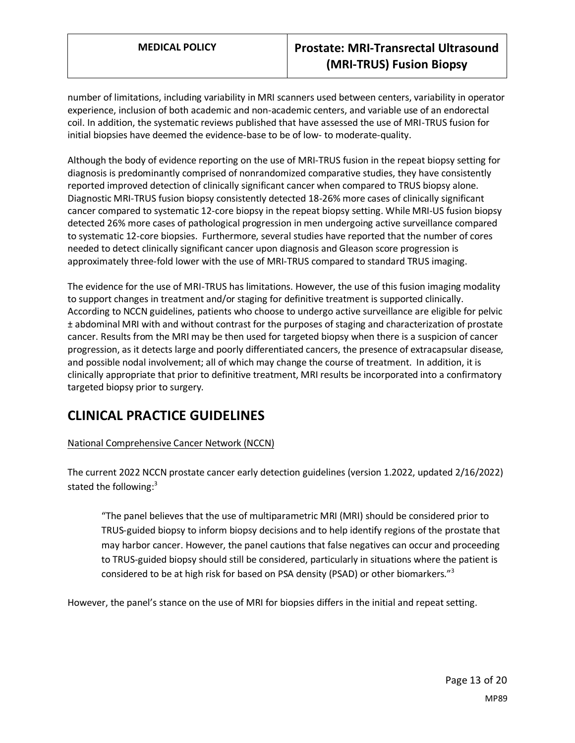# **MEDICAL POLICY Prostate: MRI-Transrectal Ultrasound (MRI-TRUS) Fusion Biopsy**

number of limitations, including variability in MRI scanners used between centers, variability in operator experience, inclusion of both academic and non-academic centers, and variable use of an endorectal coil. In addition, the systematic reviews published that have assessed the use of MRI-TRUS fusion for initial biopsies have deemed the evidence-base to be of low- to moderate-quality.

Although the body of evidence reporting on the use of MRI-TRUS fusion in the repeat biopsy setting for diagnosis is predominantly comprised of nonrandomized comparative studies, they have consistently reported improved detection of clinically significant cancer when compared to TRUS biopsy alone. Diagnostic MRI-TRUS fusion biopsy consistently detected 18-26% more cases of clinically significant cancer compared to systematic 12-core biopsy in the repeat biopsy setting. While MRI-US fusion biopsy detected 26% more cases of pathological progression in men undergoing active surveillance compared to systematic 12-core biopsies. Furthermore, several studies have reported that the number of cores needed to detect clinically significant cancer upon diagnosis and Gleason score progression is approximately three-fold lower with the use of MRI-TRUS compared to standard TRUS imaging.

The evidence for the use of MRI-TRUS has limitations. However, the use of this fusion imaging modality to support changes in treatment and/or staging for definitive treatment is supported clinically. According to NCCN guidelines, patients who choose to undergo active surveillance are eligible for pelvic ± abdominal MRI with and without contrast for the purposes of staging and characterization of prostate cancer. Results from the MRI may be then used for targeted biopsy when there is a suspicion of cancer progression, as it detects large and poorly differentiated cancers, the presence of extracapsular disease, and possible nodal involvement; all of which may change the course of treatment. In addition, it is clinically appropriate that prior to definitive treatment, MRI results be incorporated into a confirmatory targeted biopsy prior to surgery.

# **CLINICAL PRACTICE GUIDELINES**

## National Comprehensive Cancer Network (NCCN)

The current 2022 NCCN prostate cancer early detection guidelines (version 1.2022, updated 2/16/2022) stated the following: $3$ 

"The panel believes that the use of multiparametric MRI (MRI) should be considered prior to TRUS-guided biopsy to inform biopsy decisions and to help identify regions of the prostate that may harbor cancer. However, the panel cautions that false negatives can occur and proceeding to TRUS-guided biopsy should still be considered, particularly in situations where the patient is considered to be at high risk for based on PSA density (PSAD) or other biomarkers."<sup>3</sup>

However, the panel's stance on the use of MRI for biopsies differs in the initial and repeat setting.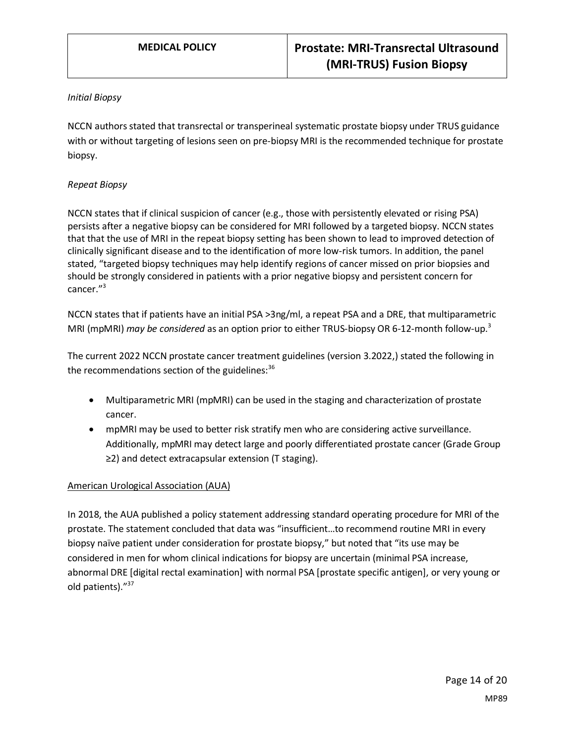#### *Initial Biopsy*

NCCN authors stated that transrectal or transperineal systematic prostate biopsy under TRUS guidance with or without targeting of lesions seen on pre-biopsy MRI is the recommended technique for prostate biopsy.

## *Repeat Biopsy*

NCCN states that if clinical suspicion of cancer (e.g., those with persistently elevated or rising PSA) persists after a negative biopsy can be considered for MRI followed by a targeted biopsy. NCCN states that that the use of MRI in the repeat biopsy setting has been shown to lead to improved detection of clinically significant disease and to the identification of more low-risk tumors. In addition, the panel stated, "targeted biopsy techniques may help identify regions of cancer missed on prior biopsies and should be strongly considered in patients with a prior negative biopsy and persistent concern for cancer."<sup>3</sup>

NCCN states that if patients have an initial PSA >3ng/ml, a repeat PSA and a DRE, that multiparametric MRI (mpMRI) *may be considered* as an option prior to either TRUS-biopsy OR 6-12-month follow-up.<sup>3</sup>

The current 2022 NCCN prostate cancer treatment guidelines (version 3.2022,) stated the following in the recommendations section of the guidelines: $36$ 

- Multiparametric MRI (mpMRI) can be used in the staging and characterization of prostate cancer.
- mpMRI may be used to better risk stratify men who are considering active surveillance. Additionally, mpMRI may detect large and poorly differentiated prostate cancer (Grade Group ≥2) and detect extracapsular extension (T staging).

#### American Urological Association (AUA)

In 2018, the AUA published a policy statement addressing standard operating procedure for MRI of the prostate. The statement concluded that data was "insufficient…to recommend routine MRI in every biopsy naïve patient under consideration for prostate biopsy," but noted that "its use may be considered in men for whom clinical indications for biopsy are uncertain (minimal PSA increase, abnormal DRE [digital rectal examination] with normal PSA [prostate specific antigen], or very young or old patients)."<sup>37</sup>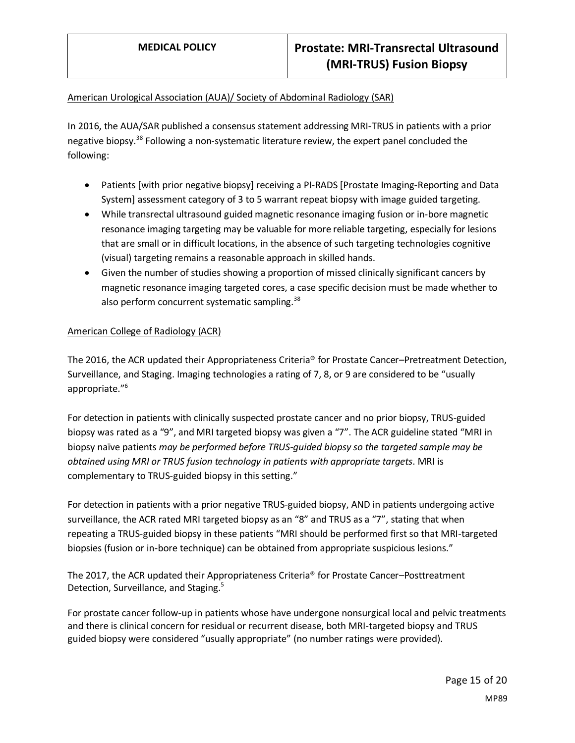## American Urological Association (AUA)/ Society of Abdominal Radiology (SAR)

In 2016, the AUA/SAR published a consensus statement addressing MRI-TRUS in patients with a prior negative biopsy.<sup>38</sup> Following a non-systematic literature review, the expert panel concluded the following:

- Patients [with prior negative biopsy] receiving a PI-RADS [Prostate Imaging-Reporting and Data System] assessment category of 3 to 5 warrant repeat biopsy with image guided targeting.
- While transrectal ultrasound guided magnetic resonance imaging fusion or in-bore magnetic resonance imaging targeting may be valuable for more reliable targeting, especially for lesions that are small or in difficult locations, in the absence of such targeting technologies cognitive (visual) targeting remains a reasonable approach in skilled hands.
- Given the number of studies showing a proportion of missed clinically significant cancers by magnetic resonance imaging targeted cores, a case specific decision must be made whether to also perform concurrent systematic sampling.<sup>38</sup>

## American College of Radiology (ACR)

The 2016, the ACR updated their Appropriateness Criteria<sup>®</sup> for Prostate Cancer–Pretreatment Detection, Surveillance, and Staging. Imaging technologies a rating of 7, 8, or 9 are considered to be "usually appropriate." 6

For detection in patients with clinically suspected prostate cancer and no prior biopsy, TRUS-guided biopsy was rated as a "9", and MRI targeted biopsy was given a "7". The ACR guideline stated "MRI in biopsy naïve patients *may be performed before TRUS-guided biopsy so the targeted sample may be obtained using MRI or TRUS fusion technology in patients with appropriate targets*. MRI is complementary to TRUS-guided biopsy in this setting."

For detection in patients with a prior negative TRUS-guided biopsy, AND in patients undergoing active surveillance, the ACR rated MRI targeted biopsy as an "8" and TRUS as a "7", stating that when repeating a TRUS-guided biopsy in these patients "MRI should be performed first so that MRI-targeted biopsies (fusion or in-bore technique) can be obtained from appropriate suspicious lesions."

The 2017, the ACR updated their Appropriateness Criteria® for Prostate Cancer–Posttreatment Detection, Surveillance, and Staging.<sup>5</sup>

For prostate cancer follow-up in patients whose have undergone nonsurgical local and pelvic treatments and there is clinical concern for residual or recurrent disease, both MRI-targeted biopsy and TRUS guided biopsy were considered "usually appropriate" (no number ratings were provided).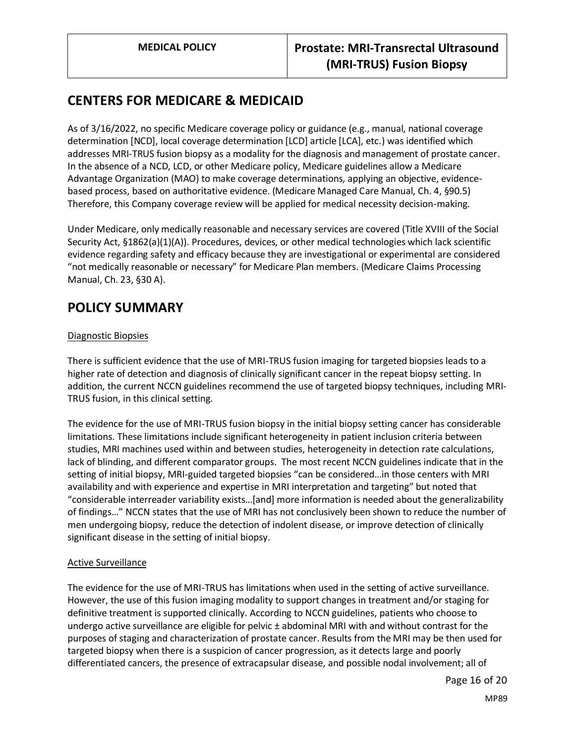# <span id="page-15-0"></span>**CENTERS FOR MEDICARE & MEDICAID**

As of 3/16/2022, no specific Medicare coverage policy or guidance (e.g., manual, national coverage determination [NCD], local coverage determination [LCD] article [LCA], etc.) was identified which addresses MRI-TRUS fusion biopsy as a modality for the diagnosis and management of prostate cancer. In the absence of a NCD, LCD, or other Medicare policy, Medicare guidelines allow a Medicare Advantage Organization (MAO) to make coverage determinations, applying an objective, evidencebased process, based on authoritative evidence. (Medicare Managed Care Manual, Ch. 4, §90.5) Therefore, this Company coverage review will be applied for medical necessity decision-making.

Under Medicare, only medically reasonable and necessary services are covered (Title XVIII of the Social Security Act, §1862(a)(1)(A)). Procedures, devices, or other medical technologies which lack scientific evidence regarding safety and efficacy because they are investigational or experimental are considered "not medically reasonable or necessary" for Medicare Plan members. (Medicare Claims Processing Manual, Ch. 23, §30 A).

# <span id="page-15-1"></span>**POLICY SUMMARY**

## Diagnostic Biopsies

There is sufficient evidence that the use of MRI-TRUS fusion imaging for targeted biopsies leads to a higher rate of detection and diagnosis of clinically significant cancer in the repeat biopsy setting. In addition, the current NCCN guidelines recommend the use of targeted biopsy techniques, including MRI-TRUS fusion, in this clinical setting.

The evidence for the use of MRI-TRUS fusion biopsy in the initial biopsy setting cancer has considerable limitations. These limitations include significant heterogeneity in patient inclusion criteria between studies, MRI machines used within and between studies, heterogeneity in detection rate calculations, lack of blinding, and different comparator groups. The most recent NCCN guidelines indicate that in the setting of initial biopsy, MRI-guided targeted biopsies "can be considered…in those centers with MRI availability and with experience and expertise in MRI interpretation and targeting" but noted that "considerable interreader variability exists…[and] more information is needed about the generalizability of findings…" NCCN states that the use of MRI has not conclusively been shown to reduce the number of men undergoing biopsy, reduce the detection of indolent disease, or improve detection of clinically significant disease in the setting of initial biopsy.

## Active Surveillance

The evidence for the use of MRI-TRUS has limitations when used in the setting of active surveillance. However, the use of this fusion imaging modality to support changes in treatment and/or staging for definitive treatment is supported clinically. According to NCCN guidelines, patients who choose to undergo active surveillance are eligible for pelvic ± abdominal MRI with and without contrast for the purposes of staging and characterization of prostate cancer. Results from the MRI may be then used for targeted biopsy when there is a suspicion of cancer progression, as it detects large and poorly differentiated cancers, the presence of extracapsular disease, and possible nodal involvement; all of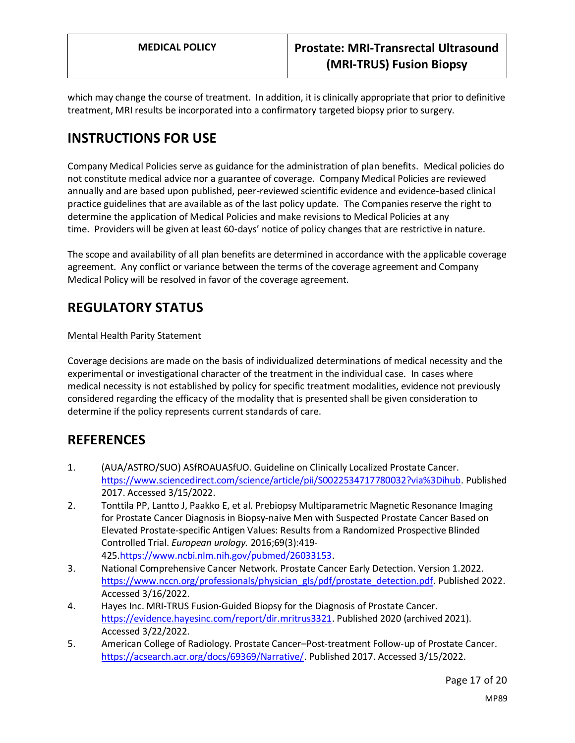which may change the course of treatment. In addition, it is clinically appropriate that prior to definitive treatment, MRI results be incorporated into a confirmatory targeted biopsy prior to surgery.

# **INSTRUCTIONS FOR USE**

Company Medical Policies serve as guidance for the administration of plan benefits. Medical policies do not constitute medical advice nor a guarantee of coverage. Company Medical Policies are reviewed annually and are based upon published, peer-reviewed scientific evidence and evidence-based clinical practice guidelines that are available as of the last policy update. The Companies reserve the right to determine the application of Medical Policies and make revisions to Medical Policies at any time. Providers will be given at least 60-days' notice of policy changes that are restrictive in nature.

The scope and availability of all plan benefits are determined in accordance with the applicable coverage agreement. Any conflict or variance between the terms of the coverage agreement and Company Medical Policy will be resolved in favor of the coverage agreement.

# **REGULATORY STATUS**

## Mental Health Parity Statement

Coverage decisions are made on the basis of individualized determinations of medical necessity and the experimental or investigational character of the treatment in the individual case. In cases where medical necessity is not established by policy for specific treatment modalities, evidence not previously considered regarding the efficacy of the modality that is presented shall be given consideration to determine if the policy represents current standards of care.

## **REFERENCES**

- 1. (AUA/ASTRO/SUO) ASfROAUASfUO. Guideline on Clinically Localized Prostate Cancer. [https://www.sciencedirect.com/science/article/pii/S0022534717780032?via%3Dihub.](https://www.sciencedirect.com/science/article/pii/S0022534717780032?via%3Dihub) Published 2017. Accessed 3/15/2022.
- 2. Tonttila PP, Lantto J, Paakko E, et al. Prebiopsy Multiparametric Magnetic Resonance Imaging for Prostate Cancer Diagnosis in Biopsy-naive Men with Suspected Prostate Cancer Based on Elevated Prostate-specific Antigen Values: Results from a Randomized Prospective Blinded Controlled Trial. *European urology.* 2016;69(3):419- 425[.https://www.ncbi.nlm.nih.gov/pubmed/26033153.](https://www.ncbi.nlm.nih.gov/pubmed/26033153)
- 3. National Comprehensive Cancer Network. Prostate Cancer Early Detection. Version 1.2022. [https://www.nccn.org/professionals/physician\\_gls/pdf/prostate\\_detection.pdf.](https://www.nccn.org/professionals/physician_gls/pdf/prostate_detection.pdf) Published 2022. Accessed 3/16/2022.
- 4. Hayes Inc. MRI-TRUS Fusion-Guided Biopsy for the Diagnosis of Prostate Cancer. [https://evidence.hayesinc.com/report/dir.mritrus3321.](https://evidence.hayesinc.com/report/dir.mritrus3321) Published 2020 (archived 2021). Accessed 3/22/2022.
- 5. American College of Radiology. Prostate Cancer–Post-treatment Follow-up of Prostate Cancer. [https://acsearch.acr.org/docs/69369/Narrative/.](https://acsearch.acr.org/docs/69369/Narrative/) Published 2017. Accessed 3/15/2022.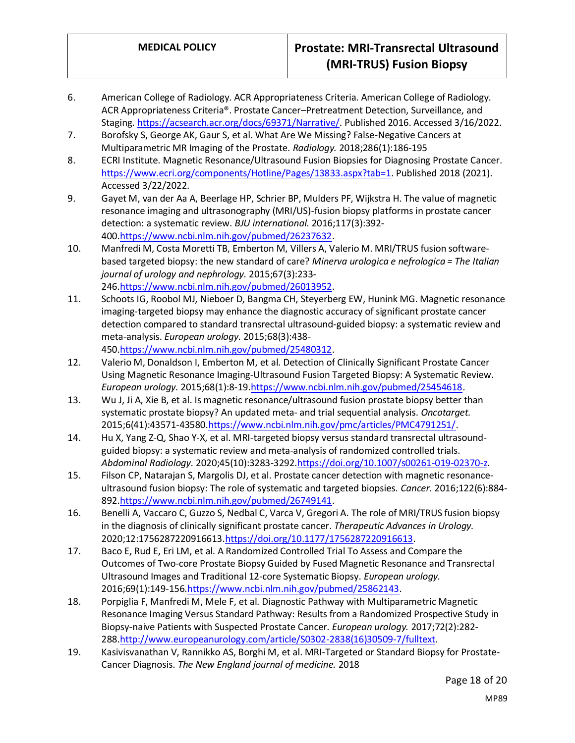- 6. American College of Radiology. ACR Appropriateness Criteria. American College of Radiology. ACR Appropriateness Criteria®. Prostate Cancer–Pretreatment Detection, Surveillance, and Staging. [https://acsearch.acr.org/docs/69371/Narrative/.](https://acsearch.acr.org/docs/69371/Narrative/) Published 2016. Accessed 3/16/2022.
- 7. Borofsky S, George AK, Gaur S, et al. What Are We Missing? False-Negative Cancers at Multiparametric MR Imaging of the Prostate. *Radiology.* 2018;286(1):186-195
- 8. ECRI Institute. Magnetic Resonance/Ultrasound Fusion Biopsies for Diagnosing Prostate Cancer. [https://www.ecri.org/components/Hotline/Pages/13833.aspx?tab=1.](https://www.ecri.org/components/Hotline/Pages/13833.aspx?tab=1) Published 2018 (2021). Accessed 3/22/2022.
- 9. Gayet M, van der Aa A, Beerlage HP, Schrier BP, Mulders PF, Wijkstra H. The value of magnetic resonance imaging and ultrasonography (MRI/US)-fusion biopsy platforms in prostate cancer detection: a systematic review. *BJU international.* 2016;117(3):392- 400[.https://www.ncbi.nlm.nih.gov/pubmed/26237632.](https://www.ncbi.nlm.nih.gov/pubmed/26237632)
- 10. Manfredi M, Costa Moretti TB, Emberton M, Villers A, Valerio M. MRI/TRUS fusion softwarebased targeted biopsy: the new standard of care? *Minerva urologica e nefrologica = The Italian journal of urology and nephrology.* 2015;67(3):233- 246[.https://www.ncbi.nlm.nih.gov/pubmed/26013952.](https://www.ncbi.nlm.nih.gov/pubmed/26013952)
- 11. Schoots IG, Roobol MJ, Nieboer D, Bangma CH, Steyerberg EW, Hunink MG. Magnetic resonance imaging-targeted biopsy may enhance the diagnostic accuracy of significant prostate cancer detection compared to standard transrectal ultrasound-guided biopsy: a systematic review and meta-analysis. *European urology.* 2015;68(3):438- 450[.https://www.ncbi.nlm.nih.gov/pubmed/25480312.](https://www.ncbi.nlm.nih.gov/pubmed/25480312)
- 12. Valerio M, Donaldson I, Emberton M, et al. Detection of Clinically Significant Prostate Cancer Using Magnetic Resonance Imaging-Ultrasound Fusion Targeted Biopsy: A Systematic Review. *European urology.* 2015;68(1):8-1[9.https://www.ncbi.nlm.nih.gov/pubmed/25454618.](https://www.ncbi.nlm.nih.gov/pubmed/25454618)
- 13. Wu J, Ji A, Xie B, et al. Is magnetic resonance/ultrasound fusion prostate biopsy better than systematic prostate biopsy? An updated meta- and trial sequential analysis. *Oncotarget.*  2015;6(41):43571-43580[.https://www.ncbi.nlm.nih.gov/pmc/articles/PMC4791251/.](https://www.ncbi.nlm.nih.gov/pmc/articles/PMC4791251/)
- 14. Hu X, Yang Z-Q, Shao Y-X, et al. MRI-targeted biopsy versus standard transrectal ultrasoundguided biopsy: a systematic review and meta-analysis of randomized controlled trials. *Abdominal Radiology.* 2020;45(10):3283-3292[.https://doi.org/10.1007/s00261-019-02370-z.](https://doi.org/10.1007/s00261-019-02370-z)
- 15. Filson CP, Natarajan S, Margolis DJ, et al. Prostate cancer detection with magnetic resonanceultrasound fusion biopsy: The role of systematic and targeted biopsies. *Cancer.* 2016;122(6):884- 892[.https://www.ncbi.nlm.nih.gov/pubmed/26749141.](https://www.ncbi.nlm.nih.gov/pubmed/26749141)
- 16. Benelli A, Vaccaro C, Guzzo S, Nedbal C, Varca V, Gregori A. The role of MRI/TRUS fusion biopsy in the diagnosis of clinically significant prostate cancer. *Therapeutic Advances in Urology.*  2020;12:1756287220916613[.https://doi.org/10.1177/1756287220916613.](https://doi.org/10.1177/1756287220916613)
- 17. Baco E, Rud E, Eri LM, et al. A Randomized Controlled Trial To Assess and Compare the Outcomes of Two-core Prostate Biopsy Guided by Fused Magnetic Resonance and Transrectal Ultrasound Images and Traditional 12-core Systematic Biopsy. *European urology.*  2016;69(1):149-156[.https://www.ncbi.nlm.nih.gov/pubmed/25862143.](https://www.ncbi.nlm.nih.gov/pubmed/25862143)
- 18. Porpiglia F, Manfredi M, Mele F, et al. Diagnostic Pathway with Multiparametric Magnetic Resonance Imaging Versus Standard Pathway: Results from a Randomized Prospective Study in Biopsy-naive Patients with Suspected Prostate Cancer. *European urology.* 2017;72(2):282- 288[.http://www.europeanurology.com/article/S0302-2838\(16\)30509-7/fulltext.](http://www.europeanurology.com/article/S0302-2838(16)30509-7/fulltext)
- 19. Kasivisvanathan V, Rannikko AS, Borghi M, et al. MRI-Targeted or Standard Biopsy for Prostate-Cancer Diagnosis. *The New England journal of medicine.* 2018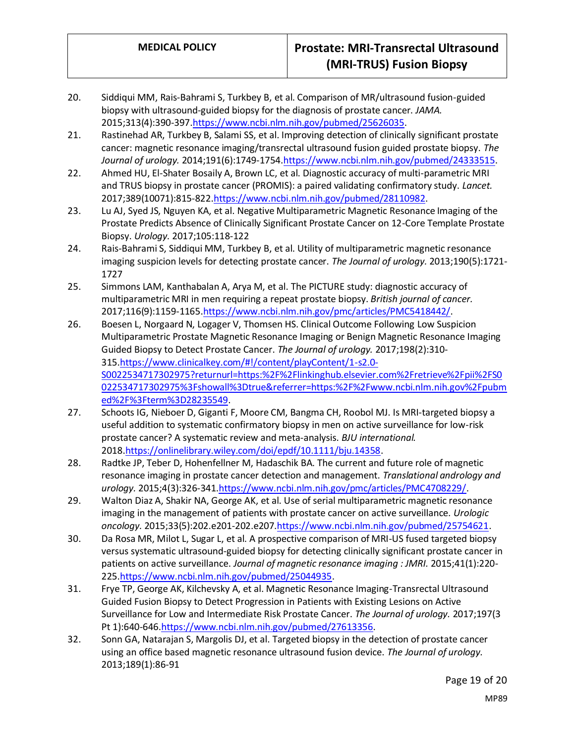- 20. Siddiqui MM, Rais-Bahrami S, Turkbey B, et al. Comparison of MR/ultrasound fusion-guided biopsy with ultrasound-guided biopsy for the diagnosis of prostate cancer. *JAMA.*  2015;313(4):390-39[7.https://www.ncbi.nlm.nih.gov/pubmed/25626035.](https://www.ncbi.nlm.nih.gov/pubmed/25626035)
- 21. Rastinehad AR, Turkbey B, Salami SS, et al. Improving detection of clinically significant prostate cancer: magnetic resonance imaging/transrectal ultrasound fusion guided prostate biopsy. *The Journal of urology.* 2014;191(6):1749-1754[.https://www.ncbi.nlm.nih.gov/pubmed/24333515.](https://www.ncbi.nlm.nih.gov/pubmed/24333515)
- 22. Ahmed HU, El-Shater Bosaily A, Brown LC, et al. Diagnostic accuracy of multi-parametric MRI and TRUS biopsy in prostate cancer (PROMIS): a paired validating confirmatory study. *Lancet.*  2017;389(10071):815-822[.https://www.ncbi.nlm.nih.gov/pubmed/28110982.](https://www.ncbi.nlm.nih.gov/pubmed/28110982)
- 23. Lu AJ, Syed JS, Nguyen KA, et al. Negative Multiparametric Magnetic Resonance Imaging of the Prostate Predicts Absence of Clinically Significant Prostate Cancer on 12-Core Template Prostate Biopsy. *Urology.* 2017;105:118-122
- 24. Rais-Bahrami S, Siddiqui MM, Turkbey B, et al. Utility of multiparametric magnetic resonance imaging suspicion levels for detecting prostate cancer. *The Journal of urology.* 2013;190(5):1721- 1727
- 25. Simmons LAM, Kanthabalan A, Arya M, et al. The PICTURE study: diagnostic accuracy of multiparametric MRI in men requiring a repeat prostate biopsy. *British journal of cancer.*  2017;116(9):1159-1165[.https://www.ncbi.nlm.nih.gov/pmc/articles/PMC5418442/.](https://www.ncbi.nlm.nih.gov/pmc/articles/PMC5418442/)
- 26. Boesen L, Norgaard N, Logager V, Thomsen HS. Clinical Outcome Following Low Suspicion Multiparametric Prostate Magnetic Resonance Imaging or Benign Magnetic Resonance Imaging Guided Biopsy to Detect Prostate Cancer. *The Journal of urology.* 2017;198(2):310- 315[.https://www.clinicalkey.com/#!/content/playContent/1-s2.0-](https://www.clinicalkey.com/#!/content/playContent/1-s2.0-S0022534717302975?returnurl=https:%2F%2Flinkinghub.elsevier.com%2Fretrieve%2Fpii%2FS0022534717302975%3Fshowall%3Dtrue&referrer=https:%2F%2Fwww.ncbi.nlm.nih.gov%2Fpubmed%2F%3Fterm%3D28235549) [S0022534717302975?returnurl=https:%2F%2Flinkinghub.elsevier.com%2Fretrieve%2Fpii%2FS0](https://www.clinicalkey.com/#!/content/playContent/1-s2.0-S0022534717302975?returnurl=https:%2F%2Flinkinghub.elsevier.com%2Fretrieve%2Fpii%2FS0022534717302975%3Fshowall%3Dtrue&referrer=https:%2F%2Fwww.ncbi.nlm.nih.gov%2Fpubmed%2F%3Fterm%3D28235549) [022534717302975%3Fshowall%3Dtrue&referrer=https:%2F%2Fwww.ncbi.nlm.nih.gov%2Fpubm](https://www.clinicalkey.com/#!/content/playContent/1-s2.0-S0022534717302975?returnurl=https:%2F%2Flinkinghub.elsevier.com%2Fretrieve%2Fpii%2FS0022534717302975%3Fshowall%3Dtrue&referrer=https:%2F%2Fwww.ncbi.nlm.nih.gov%2Fpubmed%2F%3Fterm%3D28235549) [ed%2F%3Fterm%3D28235549.](https://www.clinicalkey.com/#!/content/playContent/1-s2.0-S0022534717302975?returnurl=https:%2F%2Flinkinghub.elsevier.com%2Fretrieve%2Fpii%2FS0022534717302975%3Fshowall%3Dtrue&referrer=https:%2F%2Fwww.ncbi.nlm.nih.gov%2Fpubmed%2F%3Fterm%3D28235549)
- 27. Schoots IG, Nieboer D, Giganti F, Moore CM, Bangma CH, Roobol MJ. Is MRI-targeted biopsy a useful addition to systematic confirmatory biopsy in men on active surveillance for low-risk prostate cancer? A systematic review and meta-analysis. *BJU international.*  2018[.https://onlinelibrary.wiley.com/doi/epdf/10.1111/bju.14358.](https://onlinelibrary.wiley.com/doi/epdf/10.1111/bju.14358)
- 28. Radtke JP, Teber D, Hohenfellner M, Hadaschik BA. The current and future role of magnetic resonance imaging in prostate cancer detection and management. *Translational andrology and urology.* 2015;4(3):326-34[1.https://www.ncbi.nlm.nih.gov/pmc/articles/PMC4708229/.](https://www.ncbi.nlm.nih.gov/pmc/articles/PMC4708229/)
- 29. Walton Diaz A, Shakir NA, George AK, et al. Use of serial multiparametric magnetic resonance imaging in the management of patients with prostate cancer on active surveillance. *Urologic oncology.* 2015;33(5):202.e201-202.e20[7.https://www.ncbi.nlm.nih.gov/pubmed/25754621.](https://www.ncbi.nlm.nih.gov/pubmed/25754621)
- 30. Da Rosa MR, Milot L, Sugar L, et al. A prospective comparison of MRI-US fused targeted biopsy versus systematic ultrasound-guided biopsy for detecting clinically significant prostate cancer in patients on active surveillance. *Journal of magnetic resonance imaging : JMRI.* 2015;41(1):220- 225[.https://www.ncbi.nlm.nih.gov/pubmed/25044935.](https://www.ncbi.nlm.nih.gov/pubmed/25044935)
- 31. Frye TP, George AK, Kilchevsky A, et al. Magnetic Resonance Imaging-Transrectal Ultrasound Guided Fusion Biopsy to Detect Progression in Patients with Existing Lesions on Active Surveillance for Low and Intermediate Risk Prostate Cancer. *The Journal of urology.* 2017;197(3 Pt 1):640-646[.https://www.ncbi.nlm.nih.gov/pubmed/27613356.](https://www.ncbi.nlm.nih.gov/pubmed/27613356)
- 32. Sonn GA, Natarajan S, Margolis DJ, et al. Targeted biopsy in the detection of prostate cancer using an office based magnetic resonance ultrasound fusion device. *The Journal of urology.*  2013;189(1):86-91